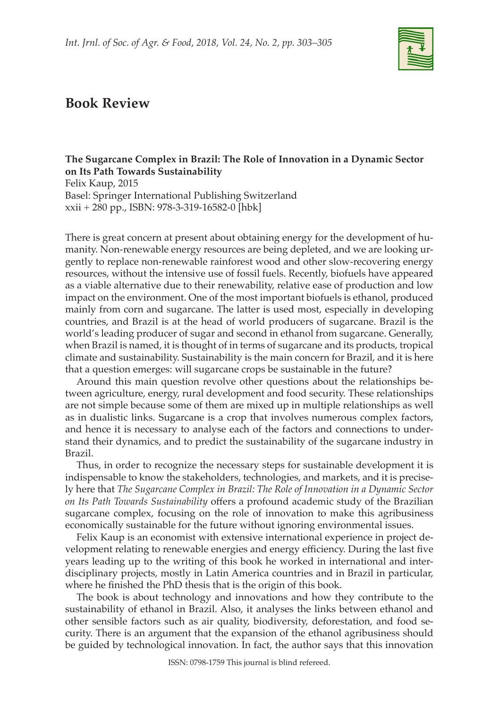

## **Book Review**

## **The Sugarcane Complex in Brazil: The Role of Innovation in a Dynamic Sector on Its Path Towards Sustainability**

Felix Kaup, 2015 Basel: Springer International Publishing Switzerland xxii + 280 pp., ISBN: 978-3-319-16582-0 [hbk]

There is great concern at present about obtaining energy for the development of humanity. Non-renewable energy resources are being depleted, and we are looking urgently to replace non-renewable rainforest wood and other slow-recovering energy resources, without the intensive use of fossil fuels. Recently, biofuels have appeared as a viable alternative due to their renewability, relative ease of production and low impact on the environment. One of the most important biofuels is ethanol, produced mainly from corn and sugarcane. The latter is used most, especially in developing countries, and Brazil is at the head of world producers of sugarcane. Brazil is the world's leading producer of sugar and second in ethanol from sugarcane. Generally, when Brazil is named, it is thought of in terms of sugarcane and its products, tropical climate and sustainability. Sustainability is the main concern for Brazil, and it is here that a question emerges: will sugarcane crops be sustainable in the future?

Around this main question revolve other questions about the relationships between agriculture, energy, rural development and food security. These relationships are not simple because some of them are mixed up in multiple relationships as well as in dualistic links. Sugarcane is a crop that involves numerous complex factors, and hence it is necessary to analyse each of the factors and connections to understand their dynamics, and to predict the sustainability of the sugarcane industry in Brazil.

Thus, in order to recognize the necessary steps for sustainable development it is indispensable to know the stakeholders, technologies, and markets, and it is precisely here that *The Sugarcane Complex in Brazil: The Role of Innovation in a Dynamic Sector on Its Path Towards Sustainability* offers a profound academic study of the Brazilian sugarcane complex, focusing on the role of innovation to make this agribusiness economically sustainable for the future without ignoring environmental issues.

Felix Kaup is an economist with extensive international experience in project development relating to renewable energies and energy efficiency. During the last five years leading up to the writing of this book he worked in international and interdisciplinary projects, mostly in Latin America countries and in Brazil in particular, where he finished the PhD thesis that is the origin of this book.

The book is about technology and innovations and how they contribute to the sustainability of ethanol in Brazil. Also, it analyses the links between ethanol and other sensible factors such as air quality, biodiversity, deforestation, and food security. There is an argument that the expansion of the ethanol agribusiness should be guided by technological innovation. In fact, the author says that this innovation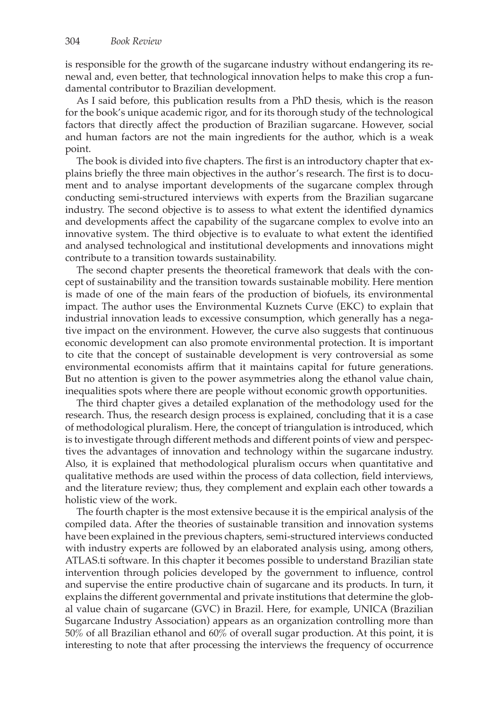is responsible for the growth of the sugarcane industry without endangering its renewal and, even better, that technological innovation helps to make this crop a fundamental contributor to Brazilian development.

As I said before, this publication results from a PhD thesis, which is the reason for the book's unique academic rigor, and for its thorough study of the technological factors that directly affect the production of Brazilian sugarcane. However, social and human factors are not the main ingredients for the author, which is a weak point.

The book is divided into five chapters. The first is an introductory chapter that explains briefly the three main objectives in the author's research. The first is to document and to analyse important developments of the sugarcane complex through conducting semi-structured interviews with experts from the Brazilian sugarcane industry. The second objective is to assess to what extent the identified dynamics and developments affect the capability of the sugarcane complex to evolve into an innovative system. The third objective is to evaluate to what extent the identified and analysed technological and institutional developments and innovations might contribute to a transition towards sustainability.

The second chapter presents the theoretical framework that deals with the concept of sustainability and the transition towards sustainable mobility. Here mention is made of one of the main fears of the production of biofuels, its environmental impact. The author uses the Environmental Kuznets Curve (EKC) to explain that industrial innovation leads to excessive consumption, which generally has a negative impact on the environment. However, the curve also suggests that continuous economic development can also promote environmental protection. It is important to cite that the concept of sustainable development is very controversial as some environmental economists affirm that it maintains capital for future generations. But no attention is given to the power asymmetries along the ethanol value chain, inequalities spots where there are people without economic growth opportunities.

The third chapter gives a detailed explanation of the methodology used for the research. Thus, the research design process is explained, concluding that it is a case of methodological pluralism. Here, the concept of triangulation is introduced, which is to investigate through different methods and different points of view and perspectives the advantages of innovation and technology within the sugarcane industry. Also, it is explained that methodological pluralism occurs when quantitative and qualitative methods are used within the process of data collection, field interviews, and the literature review; thus, they complement and explain each other towards a holistic view of the work.

The fourth chapter is the most extensive because it is the empirical analysis of the compiled data. After the theories of sustainable transition and innovation systems have been explained in the previous chapters, semi-structured interviews conducted with industry experts are followed by an elaborated analysis using, among others, ATLAS.ti software. In this chapter it becomes possible to understand Brazilian state intervention through policies developed by the government to influence, control and supervise the entire productive chain of sugarcane and its products. In turn, it explains the different governmental and private institutions that determine the global value chain of sugarcane (GVC) in Brazil. Here, for example, UNICA (Brazilian Sugarcane Industry Association) appears as an organization controlling more than 50% of all Brazilian ethanol and 60% of overall sugar production. At this point, it is interesting to note that after processing the interviews the frequency of occurrence